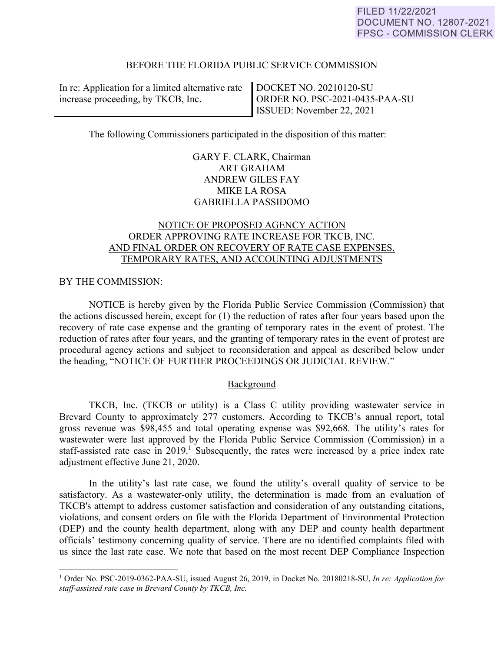# BEFORE THE FLORIDA PUBLIC SERVICE COMMISSION

In re: Application for a limited alternative rate increase proceeding, by TKCB, Inc.

DOCKET NO. 20210120-SU ORDER NO. PSC-2021-0435-PAA-SU ISSUED: November 22, 2021

The following Commissioners participated in the disposition of this matter:

GARY F. CLARK, Chairman ART GRAHAM ANDREW GILES FAY MIKE LA ROSA GABRIELLA PASSIDOMO

# NOTICE OF PROPOSED AGENCY ACTION ORDER APPROVING RATE INCREASE FOR TKCB, INC. AND FINAL ORDER ON RECOVERY OF RATE CASE EXPENSES, TEMPORARY RATES, AND ACCOUNTING ADJUSTMENTS

### BY THE COMMISSION:

 $\overline{a}$ 

NOTICE is hereby given by the Florida Public Service Commission (Commission) that the actions discussed herein, except for (1) the reduction of rates after four years based upon the recovery of rate case expense and the granting of temporary rates in the event of protest. The reduction of rates after four years, and the granting of temporary rates in the event of protest are procedural agency actions and subject to reconsideration and appeal as described below under the heading, "NOTICE OF FURTHER PROCEEDINGS OR JUDICIAL REVIEW."

#### Background

TKCB, Inc. (TKCB or utility) is a Class C utility providing wastewater service in Brevard County to approximately 277 customers. According to TKCB's annual report, total gross revenue was \$98,455 and total operating expense was \$92,668. The utility's rates for wastewater were last approved by the Florida Public Service Commission (Commission) in a staff-assisted rate case in 2019.<sup>1</sup> Subsequently, the rates were increased by a price index rate adjustment effective June 21, 2020.

In the utility's last rate case, we found the utility's overall quality of service to be satisfactory. As a wastewater-only utility, the determination is made from an evaluation of TKCB's attempt to address customer satisfaction and consideration of any outstanding citations, violations, and consent orders on file with the Florida Department of Environmental Protection (DEP) and the county health department, along with any DEP and county health department officials' testimony concerning quality of service. There are no identified complaints filed with us since the last rate case. We note that based on the most recent DEP Compliance Inspection

<sup>1</sup> Order No. PSC-2019-0362-PAA-SU, issued August 26, 2019, in Docket No. 20180218-SU, *In re: Application for staff-assisted rate case in Brevard County by TKCB, Inc.*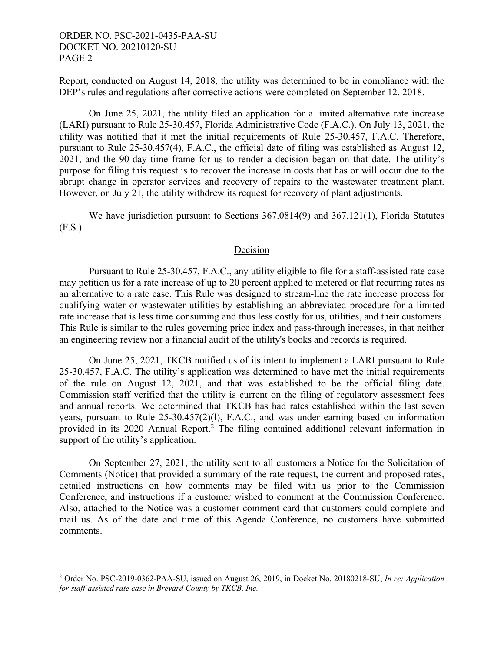Report, conducted on August 14, 2018, the utility was determined to be in compliance with the DEP's rules and regulations after corrective actions were completed on September 12, 2018.

On June 25, 2021, the utility filed an application for a limited alternative rate increase (LARI) pursuant to Rule 25-30.457, Florida Administrative Code (F.A.C.). On July 13, 2021, the utility was notified that it met the initial requirements of Rule 25-30.457, F.A.C. Therefore, pursuant to Rule 25-30.457(4), F.A.C., the official date of filing was established as August 12, 2021, and the 90-day time frame for us to render a decision began on that date. The utility's purpose for filing this request is to recover the increase in costs that has or will occur due to the abrupt change in operator services and recovery of repairs to the wastewater treatment plant. However, on July 21, the utility withdrew its request for recovery of plant adjustments.

We have jurisdiction pursuant to Sections 367.0814(9) and 367.121(1), Florida Statutes (F.S.).

# Decision

Pursuant to Rule 25-30.457, F.A.C., any utility eligible to file for a staff-assisted rate case may petition us for a rate increase of up to 20 percent applied to metered or flat recurring rates as an alternative to a rate case. This Rule was designed to stream-line the rate increase process for qualifying water or wastewater utilities by establishing an abbreviated procedure for a limited rate increase that is less time consuming and thus less costly for us, utilities, and their customers. This Rule is similar to the rules governing price index and pass-through increases, in that neither an engineering review nor a financial audit of the utility's books and records is required.

On June 25, 2021, TKCB notified us of its intent to implement a LARI pursuant to Rule 25-30.457, F.A.C. The utility's application was determined to have met the initial requirements of the rule on August 12, 2021, and that was established to be the official filing date. Commission staff verified that the utility is current on the filing of regulatory assessment fees and annual reports. We determined that TKCB has had rates established within the last seven years, pursuant to Rule 25-30.457(2)(l), F.A.C., and was under earning based on information provided in its 2020 Annual Report.<sup>2</sup> The filing contained additional relevant information in support of the utility's application.

On September 27, 2021, the utility sent to all customers a Notice for the Solicitation of Comments (Notice) that provided a summary of the rate request, the current and proposed rates, detailed instructions on how comments may be filed with us prior to the Commission Conference, and instructions if a customer wished to comment at the Commission Conference. Also, attached to the Notice was a customer comment card that customers could complete and mail us. As of the date and time of this Agenda Conference, no customers have submitted comments.

 2 Order No. PSC-2019-0362-PAA-SU, issued on August 26, 2019, in Docket No. 20180218-SU, *In re: Application for staff-assisted rate case in Brevard County by TKCB, Inc.*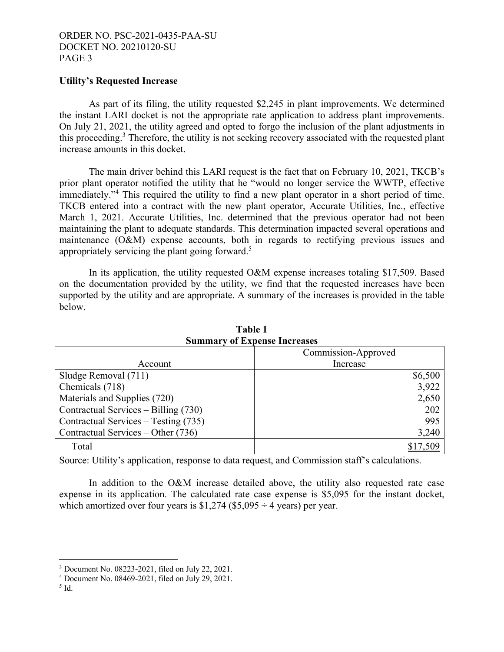### **Utility's Requested Increase**

As part of its filing, the utility requested \$2,245 in plant improvements. We determined the instant LARI docket is not the appropriate rate application to address plant improvements. On July 21, 2021, the utility agreed and opted to forgo the inclusion of the plant adjustments in this proceeding.<sup>3</sup> Therefore, the utility is not seeking recovery associated with the requested plant increase amounts in this docket.

The main driver behind this LARI request is the fact that on February 10, 2021, TKCB's prior plant operator notified the utility that he "would no longer service the WWTP, effective immediately."<sup>4</sup> This required the utility to find a new plant operator in a short period of time. TKCB entered into a contract with the new plant operator, Accurate Utilities, Inc., effective March 1, 2021. Accurate Utilities, Inc. determined that the previous operator had not been maintaining the plant to adequate standards. This determination impacted several operations and maintenance (O&M) expense accounts, both in regards to rectifying previous issues and appropriately servicing the plant going forward.<sup>5</sup>

In its application, the utility requested O&M expense increases totaling \$17,509. Based on the documentation provided by the utility, we find that the requested increases have been supported by the utility and are appropriate. A summary of the increases is provided in the table below.

| миници у от пареняе пісі саяся       |                     |  |  |  |  |
|--------------------------------------|---------------------|--|--|--|--|
|                                      | Commission-Approved |  |  |  |  |
| Account                              | Increase            |  |  |  |  |
| Sludge Removal (711)                 | \$6,500             |  |  |  |  |
| Chemicals (718)                      | 3,922               |  |  |  |  |
| Materials and Supplies (720)         | 2,650               |  |  |  |  |
| Contractual Services – Billing (730) | 202                 |  |  |  |  |
| Contractual Services – Testing (735) | 995                 |  |  |  |  |
| Contractual Services – Other (736)   | <u>3,240</u>        |  |  |  |  |
| Total                                | \$17,509            |  |  |  |  |

**Table 1 Summary of Expense Increases** 

Source: Utility's application, response to data request, and Commission staff's calculations.

In addition to the O&M increase detailed above, the utility also requested rate case expense in its application. The calculated rate case expense is \$5,095 for the instant docket, which amortized over four years is  $$1,274$  ( $$5,095 \div 4$  years) per year.

 $\overline{a}$ 

<sup>3</sup> Document No. 08223-2021, filed on July 22, 2021.

<sup>4</sup> Document No. 08469-2021, filed on July 29, 2021.

 $<sup>5</sup>$  Id.</sup>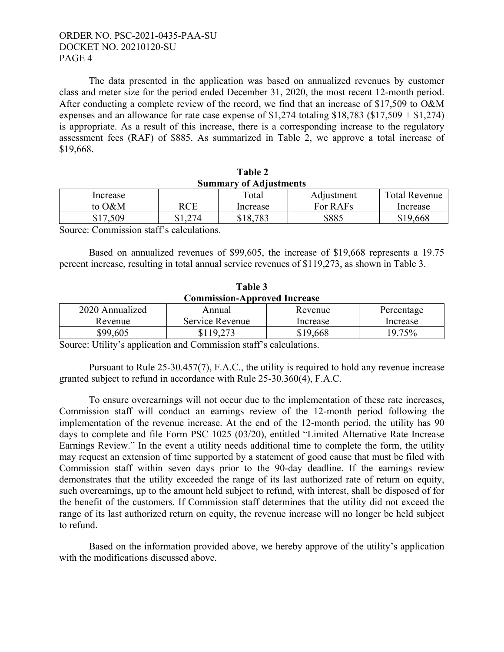The data presented in the application was based on annualized revenues by customer class and meter size for the period ended December 31, 2020, the most recent 12-month period. After conducting a complete review of the record, we find that an increase of \$17,509 to O&M expenses and an allowance for rate case expense of  $$1,274$  totaling  $$18,783$  ( $$17,509 + $1,274$ ) is appropriate. As a result of this increase, there is a corresponding increase to the regulatory assessment fees (RAF) of \$885. As summarized in Table 2, we approve a total increase of \$19,668.

| Summary of Autustments |     |          |            |                      |  |  |  |  |
|------------------------|-----|----------|------------|----------------------|--|--|--|--|
| Increase               |     | Total    | Adjustment | <b>Total Revenue</b> |  |  |  |  |
| to O&M                 | RCE | Increase | For RAFs   | Increase             |  |  |  |  |
| \$17.509               | 274 | \$18,783 | \$885      | \$19,668             |  |  |  |  |

 **Table 2 Summary of Adjustments** 

Source: Commission staff's calculations.

Based on annualized revenues of \$99,605, the increase of \$19,668 represents a 19.75 percent increase, resulting in total annual service revenues of \$119,273, as shown in Table 3.

| .                                   |                 |          |            |  |  |  |  |
|-------------------------------------|-----------------|----------|------------|--|--|--|--|
| <b>Commission-Approved Increase</b> |                 |          |            |  |  |  |  |
| 2020 Annualized                     | Annual          | Revenue  | Percentage |  |  |  |  |
| Revenue                             | Service Revenue | Increase | Increase   |  |  |  |  |
| \$99,605                            | \$119,273       | \$19,668 | 19.75%     |  |  |  |  |

**Table 3** 

Source: Utility's application and Commission staff's calculations.

Pursuant to Rule 25-30.457(7), F.A.C., the utility is required to hold any revenue increase granted subject to refund in accordance with Rule 25-30.360(4), F.A.C.

To ensure overearnings will not occur due to the implementation of these rate increases, Commission staff will conduct an earnings review of the 12-month period following the implementation of the revenue increase. At the end of the 12-month period, the utility has 90 days to complete and file Form PSC 1025 (03/20), entitled "Limited Alternative Rate Increase Earnings Review." In the event a utility needs additional time to complete the form, the utility may request an extension of time supported by a statement of good cause that must be filed with Commission staff within seven days prior to the 90-day deadline. If the earnings review demonstrates that the utility exceeded the range of its last authorized rate of return on equity, such overearnings, up to the amount held subject to refund, with interest, shall be disposed of for the benefit of the customers. If Commission staff determines that the utility did not exceed the range of its last authorized return on equity, the revenue increase will no longer be held subject to refund.

Based on the information provided above, we hereby approve of the utility's application with the modifications discussed above.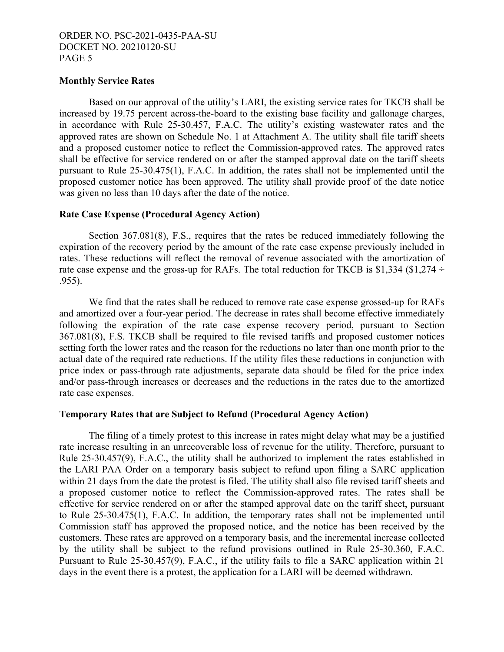### **Monthly Service Rates**

Based on our approval of the utility's LARI, the existing service rates for TKCB shall be increased by 19.75 percent across-the-board to the existing base facility and gallonage charges, in accordance with Rule 25-30.457, F.A.C. The utility's existing wastewater rates and the approved rates are shown on Schedule No. 1 at Attachment A. The utility shall file tariff sheets and a proposed customer notice to reflect the Commission-approved rates. The approved rates shall be effective for service rendered on or after the stamped approval date on the tariff sheets pursuant to Rule 25-30.475(1), F.A.C. In addition, the rates shall not be implemented until the proposed customer notice has been approved. The utility shall provide proof of the date notice was given no less than 10 days after the date of the notice.

### **Rate Case Expense (Procedural Agency Action)**

Section 367.081(8), F.S., requires that the rates be reduced immediately following the expiration of the recovery period by the amount of the rate case expense previously included in rates. These reductions will reflect the removal of revenue associated with the amortization of rate case expense and the gross-up for RAFs. The total reduction for TKCB is \$1,334 (\$1,274  $\div$ .955).

We find that the rates shall be reduced to remove rate case expense grossed-up for RAFs and amortized over a four-year period. The decrease in rates shall become effective immediately following the expiration of the rate case expense recovery period, pursuant to Section 367.081(8), F.S. TKCB shall be required to file revised tariffs and proposed customer notices setting forth the lower rates and the reason for the reductions no later than one month prior to the actual date of the required rate reductions. If the utility files these reductions in conjunction with price index or pass-through rate adjustments, separate data should be filed for the price index and/or pass-through increases or decreases and the reductions in the rates due to the amortized rate case expenses.

# **Temporary Rates that are Subject to Refund (Procedural Agency Action)**

The filing of a timely protest to this increase in rates might delay what may be a justified rate increase resulting in an unrecoverable loss of revenue for the utility. Therefore, pursuant to Rule 25-30.457(9), F.A.C., the utility shall be authorized to implement the rates established in the LARI PAA Order on a temporary basis subject to refund upon filing a SARC application within 21 days from the date the protest is filed. The utility shall also file revised tariff sheets and a proposed customer notice to reflect the Commission-approved rates. The rates shall be effective for service rendered on or after the stamped approval date on the tariff sheet, pursuant to Rule 25-30.475(1), F.A.C. In addition, the temporary rates shall not be implemented until Commission staff has approved the proposed notice, and the notice has been received by the customers. These rates are approved on a temporary basis, and the incremental increase collected by the utility shall be subject to the refund provisions outlined in Rule 25-30.360, F.A.C. Pursuant to Rule 25-30.457(9), F.A.C., if the utility fails to file a SARC application within 21 days in the event there is a protest, the application for a LARI will be deemed withdrawn.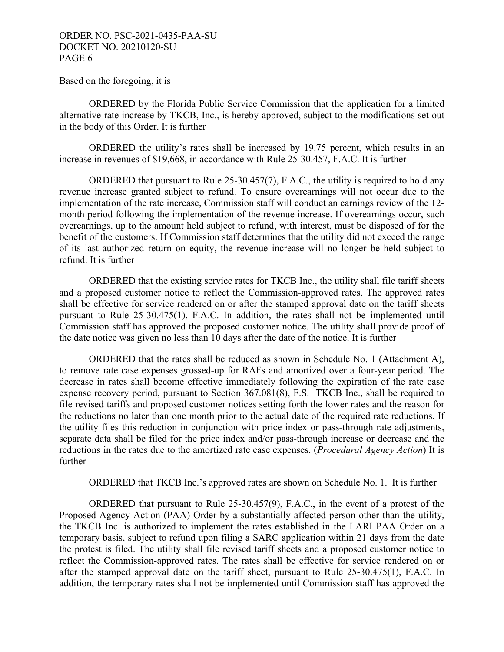Based on the foregoing, it is

 ORDERED by the Florida Public Service Commission that the application for a limited alternative rate increase by TKCB, Inc., is hereby approved, subject to the modifications set out in the body of this Order. It is further

 ORDERED the utility's rates shall be increased by 19.75 percent, which results in an increase in revenues of \$19,668, in accordance with Rule 25-30.457, F.A.C. It is further

ORDERED that pursuant to Rule 25-30.457(7), F.A.C., the utility is required to hold any revenue increase granted subject to refund. To ensure overearnings will not occur due to the implementation of the rate increase, Commission staff will conduct an earnings review of the 12 month period following the implementation of the revenue increase. If overearnings occur, such overearnings, up to the amount held subject to refund, with interest, must be disposed of for the benefit of the customers. If Commission staff determines that the utility did not exceed the range of its last authorized return on equity, the revenue increase will no longer be held subject to refund. It is further

 ORDERED that the existing service rates for TKCB Inc., the utility shall file tariff sheets and a proposed customer notice to reflect the Commission-approved rates. The approved rates shall be effective for service rendered on or after the stamped approval date on the tariff sheets pursuant to Rule 25-30.475(1), F.A.C. In addition, the rates shall not be implemented until Commission staff has approved the proposed customer notice. The utility shall provide proof of the date notice was given no less than 10 days after the date of the notice. It is further

 ORDERED that the rates shall be reduced as shown in Schedule No. 1 (Attachment A), to remove rate case expenses grossed-up for RAFs and amortized over a four-year period. The decrease in rates shall become effective immediately following the expiration of the rate case expense recovery period, pursuant to Section 367.081(8), F.S. TKCB Inc., shall be required to file revised tariffs and proposed customer notices setting forth the lower rates and the reason for the reductions no later than one month prior to the actual date of the required rate reductions. If the utility files this reduction in conjunction with price index or pass-through rate adjustments, separate data shall be filed for the price index and/or pass-through increase or decrease and the reductions in the rates due to the amortized rate case expenses. (*Procedural Agency Action*) It is further

ORDERED that TKCB Inc.'s approved rates are shown on Schedule No. 1. It is further

ORDERED that pursuant to Rule 25-30.457(9), F.A.C., in the event of a protest of the Proposed Agency Action (PAA) Order by a substantially affected person other than the utility, the TKCB Inc. is authorized to implement the rates established in the LARI PAA Order on a temporary basis, subject to refund upon filing a SARC application within 21 days from the date the protest is filed. The utility shall file revised tariff sheets and a proposed customer notice to reflect the Commission-approved rates. The rates shall be effective for service rendered on or after the stamped approval date on the tariff sheet, pursuant to Rule 25-30.475(1), F.A.C. In addition, the temporary rates shall not be implemented until Commission staff has approved the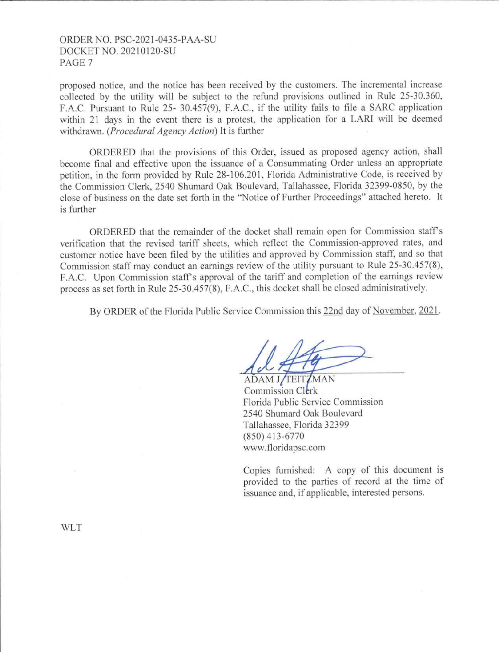proposed notice, and the notice has been received by the customers. The incremental increase collected by the utility will be subject to the refund provisions outlined in Rule 25-30.360, F.A.C. Pursuant to Rule 25- 30.457(9), F.A.C., if the utility fails to file a SARC application within 21 days in the event there is a protest, the application for a LARI will be deemed withdrawn. *(Procedural Agency Action)* It is further

ORDERED that the provisions of this Order, issued as proposed agency action, shall become final and effective upon the issuance of a Consummating Order unless an appropriate petition, in the form provided by Rule 28-106.201, Florida Administrative Code, is received by the Commission Clerk, 2540 Shumard Oak Boulevard, Tallahassee, Florida 32399-0850, by the close of business on the date set forth in the "Notice of Fwther Proceedings" attached hereto. It is further

ORDERED that the remainder of the docket shall remain open for Commission stafrs verification that the revised tariff sheets, which reflect the Commission-approved rates, and customer notice have been filed by the utilities and approved by Commission staff, and so that Commission staff may conduct an earnings review of the utility pursuant to Rule 25-30.457(8), F.A.C. Upon Commission staff's approval of the tariff and completion of the earnings review process as set forth in Rule 25-30.457{8), F.A.C., this docket shall be closed administratively.

By ORDER of the Florida Public Service Commission this 22nd day of November, 2021.

ADAM J/TEITZMAN Commission Clerk Florida Public Service Commission 2540 Shumard Oak Boulevard Tallahassee, Florida 32399 (850) 413-6770 www.floridapsc.com

Copies furnished: A copy of this document is provided to the parties of record at the time of issuance and, if applicable, interested persons.

WLT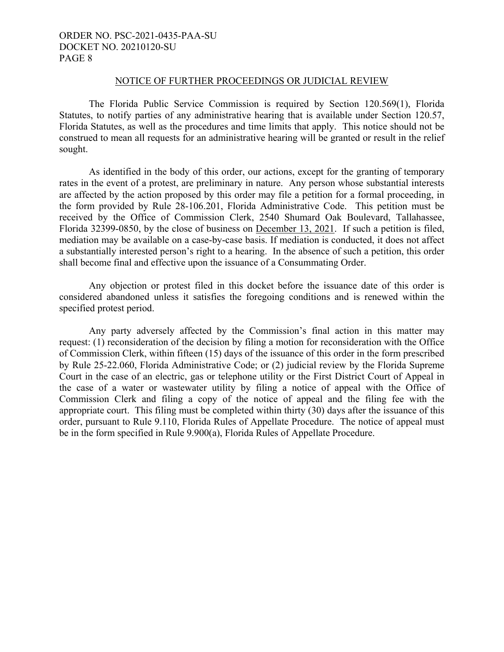#### NOTICE OF FURTHER PROCEEDINGS OR JUDICIAL REVIEW

 The Florida Public Service Commission is required by Section 120.569(1), Florida Statutes, to notify parties of any administrative hearing that is available under Section 120.57, Florida Statutes, as well as the procedures and time limits that apply. This notice should not be construed to mean all requests for an administrative hearing will be granted or result in the relief sought.

 As identified in the body of this order, our actions, except for the granting of temporary rates in the event of a protest, are preliminary in nature. Any person whose substantial interests are affected by the action proposed by this order may file a petition for a formal proceeding, in the form provided by Rule 28-106.201, Florida Administrative Code. This petition must be received by the Office of Commission Clerk, 2540 Shumard Oak Boulevard, Tallahassee, Florida 32399-0850, by the close of business on December 13, 2021. If such a petition is filed, mediation may be available on a case-by-case basis. If mediation is conducted, it does not affect a substantially interested person's right to a hearing. In the absence of such a petition, this order shall become final and effective upon the issuance of a Consummating Order.

 Any objection or protest filed in this docket before the issuance date of this order is considered abandoned unless it satisfies the foregoing conditions and is renewed within the specified protest period.

 Any party adversely affected by the Commission's final action in this matter may request: (1) reconsideration of the decision by filing a motion for reconsideration with the Office of Commission Clerk, within fifteen (15) days of the issuance of this order in the form prescribed by Rule 25-22.060, Florida Administrative Code; or (2) judicial review by the Florida Supreme Court in the case of an electric, gas or telephone utility or the First District Court of Appeal in the case of a water or wastewater utility by filing a notice of appeal with the Office of Commission Clerk and filing a copy of the notice of appeal and the filing fee with the appropriate court. This filing must be completed within thirty (30) days after the issuance of this order, pursuant to Rule 9.110, Florida Rules of Appellate Procedure. The notice of appeal must be in the form specified in Rule 9.900(a), Florida Rules of Appellate Procedure.